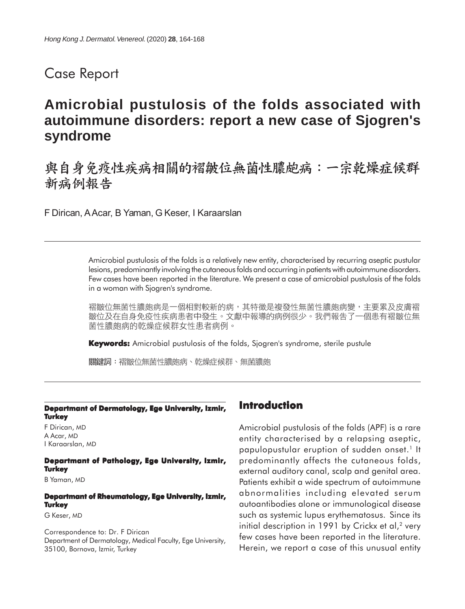# Case Report

# **Amicrobial pustulosis of the folds associated with autoimmune disorders: report a new case of Sjogren's syndrome**

# 與自身免疫性疾病相關的褶皺位無菌性膿皰病:一宗乾燥症候群 新病例報告

F Dirican, A Acar, B Yaman, G Keser, I Karaarslan

Amicrobial pustulosis of the folds is a relatively new entity, characterised by recurring aseptic pustular lesions, predominantly involving the cutaneous folds and occurring in patients with autoimmune disorders. Few cases have been reported in the literature. We present a case of amicrobial pustulosis of the folds in a woman with Sjogren's syndrome.

褶皺位無菌性膿皰病是一個相對較新的病,其特徵是複發性無菌性膿皰病變,主要累及皮膚褶 皺位及在自身免疫性疾病患者中發生。文獻中報導的病例很少。我們報告了一個患有褶皺位無 菌性膿皰病的乾燥症候群女性患者病例。

**Keywords:** Amicrobial pustulosis of the folds, Sjogren's syndrome, sterile pustule

關鍵詞:褶皺位無菌性膿皰病、乾燥症候群、無菌膿皰

#### **Departmant of Dermatology, Ege University, Izmir, Turkey**

F Dirican, MD A Acar, MD I Karaarslan, MD

**Departmant of Pathology, Ege University, Izmir, Turkey**

B Yaman, MD

#### **Departmant of Rheumatology, Ege University, Izmir, Turkey**

G Keser, MD

Correspondence to: Dr. F Dirican Department of Dermatology, Medical Faculty, Ege University, 35100, Bornova, Izmir, Turkey

### **Introduction**

Amicrobial pustulosis of the folds (APF) is a rare entity characterised by a relapsing aseptic, papulopustular eruption of sudden onset.<sup>1</sup> It predominantly affects the cutaneous folds, external auditory canal, scalp and genital area. Patients exhibit a wide spectrum of autoimmune abnormalities including elevated serum autoantibodies alone or immunological disease such as systemic lupus erythematosus. Since its initial description in 1991 by Crickx et al, $2$  very few cases have been reported in the literature. Herein, we report a case of this unusual entity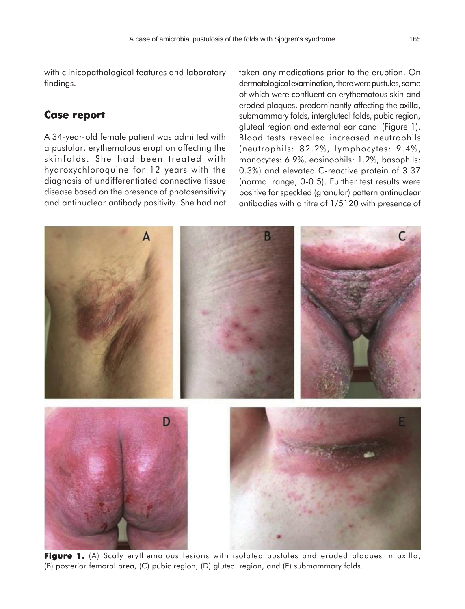with clinicopathological features and laboratory findings.

### **Case report Case**

A 34-year-old female patient was admitted with a pustular, erythematous eruption affecting the skinfolds. She had been treated with hydroxychloroquine for 12 years with the diagnosis of undifferentiated connective tissue disease based on the presence of photosensitivity and antinuclear antibody positivity. She had not taken any medications prior to the eruption. On dermatological examination, there were pustules, some of which were confluent on erythematous skin and eroded plaques, predominantly affecting the axilla, submammary folds, intergluteal folds, pubic region, gluteal region and external ear canal (Figure 1). Blood tests revealed increased neutrophils (neutrophils: 82.2%, lymphocytes: 9.4%, monocytes: 6.9%, eosinophils: 1.2%, basophils: 0.3%) and elevated C-reactive protein of 3.37 (normal range, 0-0.5). Further test results were positive for speckled (granular) pattern antinuclear antibodies with a titre of 1/5120 with presence of



**Figure 1.** (A) Scaly erythematous lesions with isolated pustules and eroded plaques in axilla, (B) posterior femoral area, (C) pubic region, (D) gluteal region, and (E) submammary folds.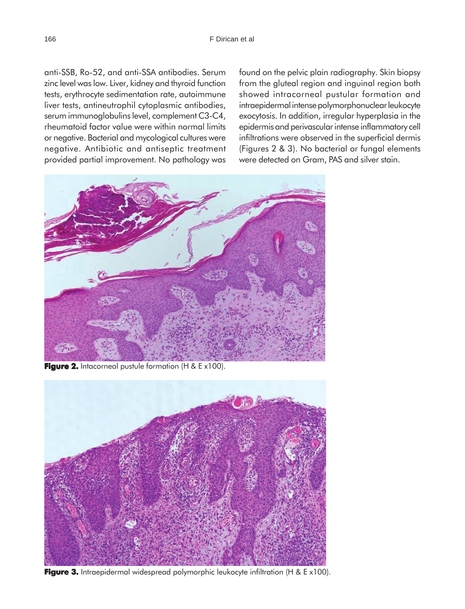anti-SSB, Ro-52, and anti-SSA antibodies. Serum zinc level was low. Liver, kidney and thyroid function tests, erythrocyte sedimentation rate, autoimmune liver tests, antineutrophil cytoplasmic antibodies, serum immunoglobulins level, complement C3-C4, rheumatoid factor value were within normal limits or negative. Bacterial and mycological cultures were negative. Antibiotic and antiseptic treatment provided partial improvement. No pathology was

found on the pelvic plain radiography. Skin biopsy from the gluteal region and inguinal region both showed intracorneal pustular formation and intraepidermal intense polymorphonuclear leukocyte exocytosis. In addition, irregular hyperplasia in the epidermis and perivascular intense inflammatory cell infiltrations were observed in the superficial dermis (Figures 2 & 3). No bacterial or fungal elements were detected on Gram, PAS and silver stain.



**Figure 2.** Intacorneal pustule formation (H & E x100).



**Figure 3.** Intraepidermal widespread polymorphic leukocyte infiltration (H & E x100).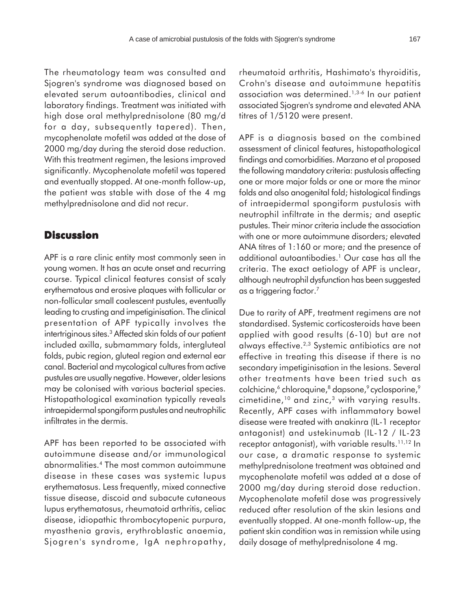The rheumatology team was consulted and Sjogren's syndrome was diagnosed based on elevated serum autoantibodies, clinical and laboratory findings. Treatment was initiated with high dose oral methylprednisolone (80 mg/d for a day, subsequently tapered). Then, mycophenolate mofetil was added at the dose of 2000 mg/day during the steroid dose reduction. With this treatment regimen, the lesions improved significantly. Mycophenolate mofetil was tapered and eventually stopped. At one-month follow-up, the patient was stable with dose of the 4 mg methylprednisolone and did not recur.

## **Discussion**

APF is a rare clinic entity most commonly seen in young women. It has an acute onset and recurring course. Typical clinical features consist of scaly erythematous and erosive plaques with follicular or non-follicular small coalescent pustules, eventually leading to crusting and impetiginisation. The clinical presentation of APF typically involves the intertriginous sites.3 Affected skin folds of our patient included axilla, submammary folds, intergluteal folds, pubic region, gluteal region and external ear canal. Bacterial and mycological cultures from active pustules are usually negative. However, older lesions may be colonised with various bacterial species. Histopathological examination typically reveals intraepidermal spongiform pustules and neutrophilic infiltrates in the dermis.

APF has been reported to be associated with autoimmune disease and/or immunological abnormalities.4 The most common autoimmune disease in these cases was systemic lupus erythematosus. Less frequently, mixed connective tissue disease, discoid and subacute cutaneous lupus erythematosus, rheumatoid arthritis, celiac disease, idiopathic thrombocytopenic purpura, myasthenia gravis, erythroblastic anaemia, Sjogren's syndrome, IgA nephropathy, rheumatoid arthritis, Hashimato's thyroiditis, Crohn's disease and autoimmune hepatitis association was determined.1,3-6 In our patient associated Sjogren's syndrome and elevated ANA titres of 1/5120 were present.

APF is a diagnosis based on the combined assessment of clinical features, histopathological findings and comorbidities. Marzano et al proposed the following mandatory criteria: pustulosis affecting one or more major folds or one or more the minor folds and also anogenital fold; histological findings of intraepidermal spongiform pustulosis with neutrophil infiltrate in the dermis; and aseptic pustules. Their minor criteria include the association with one or more autoimmune disorders; elevated ANA titres of 1:160 or more; and the presence of additional autoantibodies.1 Our case has all the criteria. The exact aetiology of APF is unclear, although neutrophil dysfunction has been suggested as a triggering factor.<sup>7</sup>

Due to rarity of APF, treatment regimens are not standardised. Systemic corticosteroids have been applied with good results (6-10) but are not always effective.2,3 Systemic antibiotics are not effective in treating this disease if there is no secondary impetiginisation in the lesions. Several other treatments have been tried such as colchicine,<sup>6</sup> chloroquine,<sup>8</sup> dapsone,<sup>9</sup> cyclosporine,<sup>9</sup> cimetidine, $10$  and zinc, $3$  with varying results. Recently, APF cases with inflammatory bowel disease were treated with anakinra (IL-1 receptor antagonist) and ustekinumab (IL-12 / IL-23 receptor antagonist), with variable results.<sup>11,12</sup> In our case, a dramatic response to systemic methylprednisolone treatment was obtained and mycophenolate mofetil was added at a dose of 2000 mg/day during steroid dose reduction. Mycophenolate mofetil dose was progressively reduced after resolution of the skin lesions and eventually stopped. At one-month follow-up, the patient skin condition was in remission while using daily dosage of methylprednisolone 4 mg.